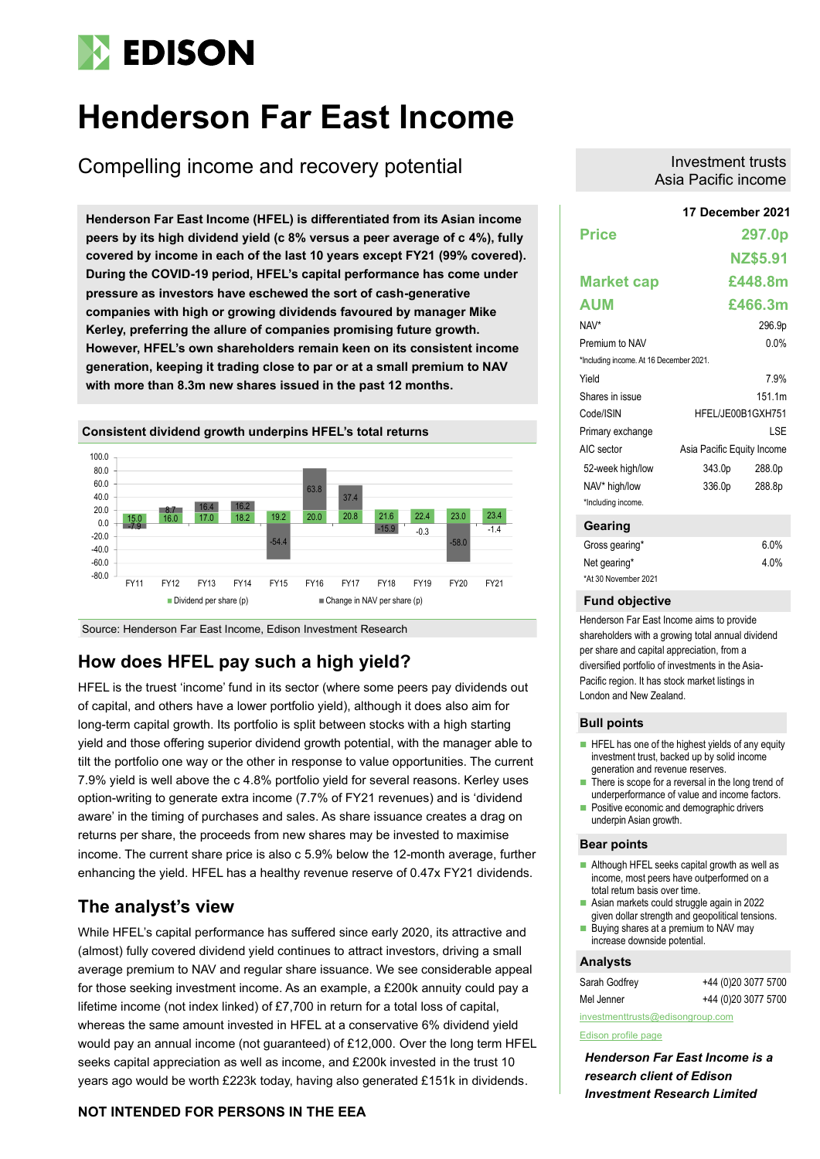# **EDISON**

# **Henderson Far East Income**

Compelling income and recovery potential

**17 December 2021 Henderson Far East Income (HFEL) is differentiated from its Asian income peers by its high dividend yield (c 8% versus a peer average of c 4%), fully covered by income in each of the last 10 years except FY21 (99% covered). During the COVID-19 period, HFEL's capital performance has come under pressure as investors have eschewed the sort of cash-generative companies with high or growing dividends favoured by manager Mike Kerley, preferring the allure of companies promising future growth. However, HFEL's own shareholders remain keen on its consistent income generation, keeping it trading close to par or at a small premium to NAV with more than 8.3m new shares issued in the past 12 months.**



Source: Henderson Far East Income, Edison Investment Research

# **How does HFEL pay such a high yield?**

HFEL is the truest 'income' fund in its sector (where some peers pay dividends out of capital, and others have a lower portfolio yield), although it does also aim for long-term capital growth. Its portfolio is split between stocks with a high starting yield and those offering superior dividend growth potential, with the manager able to tilt the portfolio one way or the other in response to value opportunities. The current 7.9% yield is well above the c 4.8% portfolio yield for several reasons. Kerley uses option-writing to generate extra income (7.7% of FY21 revenues) and is 'dividend aware' in the timing of purchases and sales. As share issuance creates a drag on returns per share, the proceeds from new shares may be invested to maximise income. The current share price is also c 5.9% below the 12-month average, further enhancing the yield. HFEL has a healthy revenue reserve of 0.47x FY21 dividends.

# **The analyst's view**

While HFEL's capital performance has suffered since early 2020, its attractive and (almost) fully covered dividend yield continues to attract investors, driving a small average premium to NAV and regular share issuance. We see considerable appeal for those seeking investment income. As an example, a £200k annuity could pay a lifetime income (not index linked) of £7,700 in return for a total loss of capital, whereas the same amount invested in HFEL at a conservative 6% dividend yield would pay an annual income (not guaranteed) of £12,000. Over the long term HFEL seeks capital appreciation as well as income, and £200k invested in the trust 10 years ago would be worth £223k today, having also generated £151k in dividends.

# **NOT INTENDED FOR PERSONS IN THE EEA**

Investment trusts Asia Pacific income

|                                         | 17 December 2021           |          |  |  |  |
|-----------------------------------------|----------------------------|----------|--|--|--|
| <b>Price</b>                            |                            | 297.0p   |  |  |  |
|                                         |                            | NZ\$5.91 |  |  |  |
| <b>Market cap</b>                       |                            | £448.8m  |  |  |  |
| <b>AUM</b>                              |                            | £466.3m  |  |  |  |
| NAV*                                    |                            | 296.9p   |  |  |  |
| Premium to NAV                          |                            | 0.0%     |  |  |  |
| *Including income. At 16 December 2021. |                            |          |  |  |  |
| Yield                                   |                            | 7.9%     |  |  |  |
| Shares in issue                         |                            | 151 1m   |  |  |  |
| Code/ISIN                               | HFEL/JE00B1GXH751          |          |  |  |  |
| Primary exchange                        |                            | LSE      |  |  |  |
| AIC sector                              | Asia Pacific Equity Income |          |  |  |  |
| 52-week high/low                        | 343.0p                     | 288.0p   |  |  |  |
| NAV* high/low<br>*Including income.     | 336.0p                     | 288.8p   |  |  |  |
| Gearing                                 |                            |          |  |  |  |

| Gross gearing*       | $6.0\%$ |
|----------------------|---------|
| Net gearing*         | $4.0\%$ |
| *At 30 November 2021 |         |

### **Fund objective**

Henderson Far East Income aims to provide shareholders with a growing total annual dividend per share and capital appreciation, from a diversified portfolio of investments in the Asia-Pacific region. It has stock market listings in London and New Zealand.

### **Bull points**

- HFEL has one of the highest yields of any equity investment trust, backed up by solid income generation and revenue reserves.
- There is scope for a reversal in the long trend of underperformance of value and income factors.
- Positive economic and demographic drivers underpin Asian growth.

### **Bear points**

- Although HFEL seeks capital growth as well as income, most peers have outperformed on a total return basis over time.
- Asian markets could struggle again in 2022 given dollar strength and geopolitical tensions.
- Buying shares at a premium to NAV may increase downside potential.

## **Analysts**

| Sarah Godfrey | +44 (0)20 3077 5700 |
|---------------|---------------------|
| Mel Jenner    | +44 (0)20 3077 5700 |

[investmenttrusts@edisongroup.com](mailto:investmenttrusts@edisongroup.com) [Edison profile page](https://www.edisongroup.com/company/henderson-far-east-income/1839)

*Henderson Far East Income is a research client of Edison Investment Research Limited*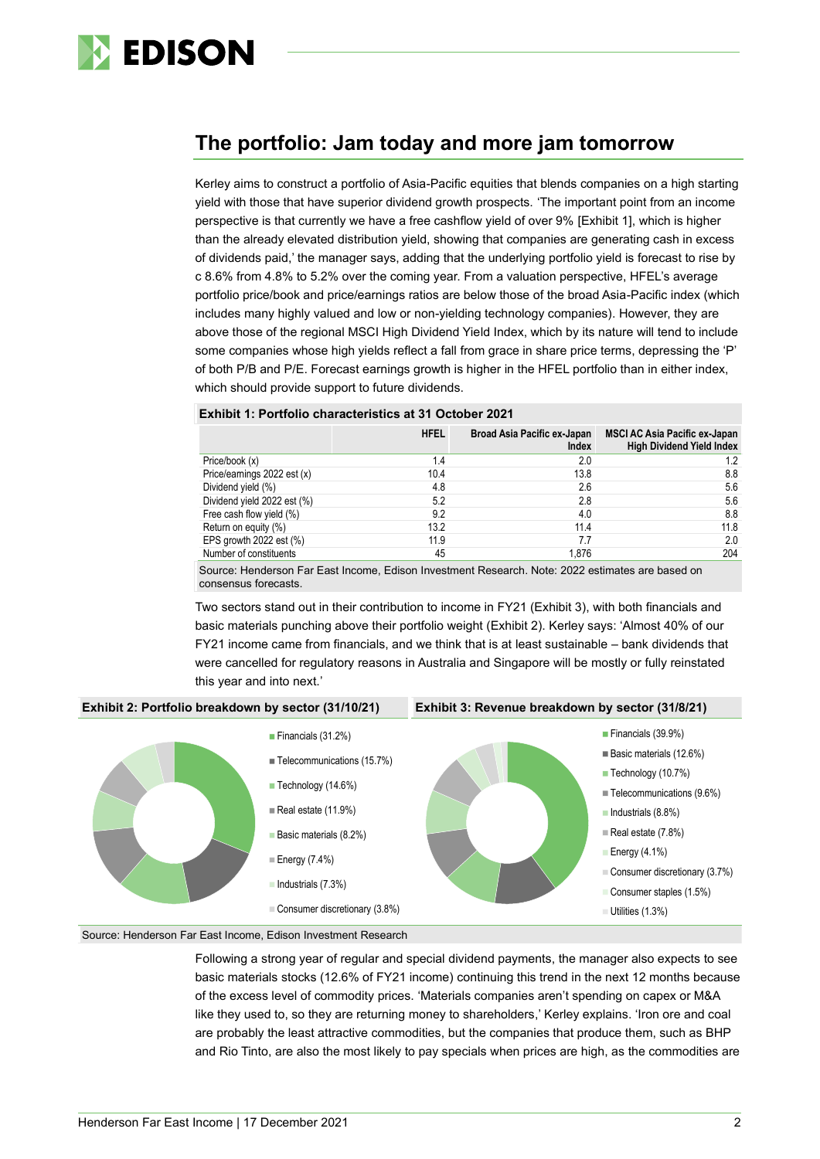

# **The portfolio: Jam today and more jam tomorrow**

Kerley aims to construct a portfolio of Asia-Pacific equities that blends companies on a high starting yield with those that have superior dividend growth prospects. 'The important point from an income perspective is that currently we have a free cashflow yield of over 9% [Exhibit 1], which is higher than the already elevated distribution yield, showing that companies are generating cash in excess of dividends paid,' the manager says, adding that the underlying portfolio yield is forecast to rise by c 8.6% from 4.8% to 5.2% over the coming year. From a valuation perspective, HFEL's average portfolio price/book and price/earnings ratios are below those of the broad Asia-Pacific index (which includes many highly valued and low or non-yielding technology companies). However, they are above those of the regional MSCI High Dividend Yield Index, which by its nature will tend to include some companies whose high yields reflect a fall from grace in share price terms, depressing the 'P' of both P/B and P/E. Forecast earnings growth is higher in the HFEL portfolio than in either index, which should provide support to future dividends.

## **Exhibit 1: Portfolio characteristics at 31 October 2021**

|                             | <b>HFEL</b> | Broad Asia Pacific ex-Japan<br>Index | <b>MSCI AC Asia Pacific ex-Japan</b><br><b>High Dividend Yield Index</b> |
|-----------------------------|-------------|--------------------------------------|--------------------------------------------------------------------------|
| Price/book (x)              | 1.4         | 2.0                                  | 1.2                                                                      |
| Price/earnings 2022 est (x) | 10.4        | 13.8                                 | 8.8                                                                      |
| Dividend yield (%)          | 4.8         | 2.6                                  | 5.6                                                                      |
| Dividend yield 2022 est (%) | 5.2         | 2.8                                  | 5.6                                                                      |
| Free cash flow yield (%)    | 9.2         | 4.0                                  | 8.8                                                                      |
| Return on equity (%)        | 13.2        | 11.4                                 | 11.8                                                                     |
| EPS growth 2022 est (%)     | 11.9        | 7.7                                  | 2.0                                                                      |
| Number of constituents      | 45          | 1.876                                | 204                                                                      |

Source: Henderson Far East Income, Edison Investment Research. Note: 2022 estimates are based on consensus forecasts.

Two sectors stand out in their contribution to income in FY21 (Exhibit 3), with both financials and basic materials punching above their portfolio weight (Exhibit 2). Kerley says: 'Almost 40% of our FY21 income came from financials, and we think that is at least sustainable – bank dividends that were cancelled for regulatory reasons in Australia and Singapore will be mostly or fully reinstated this year and into next.'



## Source: Henderson Far East Income, Edison Investment Research

Following a strong year of regular and special dividend payments, the manager also expects to see basic materials stocks (12.6% of FY21 income) continuing this trend in the next 12 months because of the excess level of commodity prices. 'Materials companies aren't spending on capex or M&A like they used to, so they are returning money to shareholders,' Kerley explains. 'Iron ore and coal are probably the least attractive commodities, but the companies that produce them, such as BHP and Rio Tinto, are also the most likely to pay specials when prices are high, as the commodities are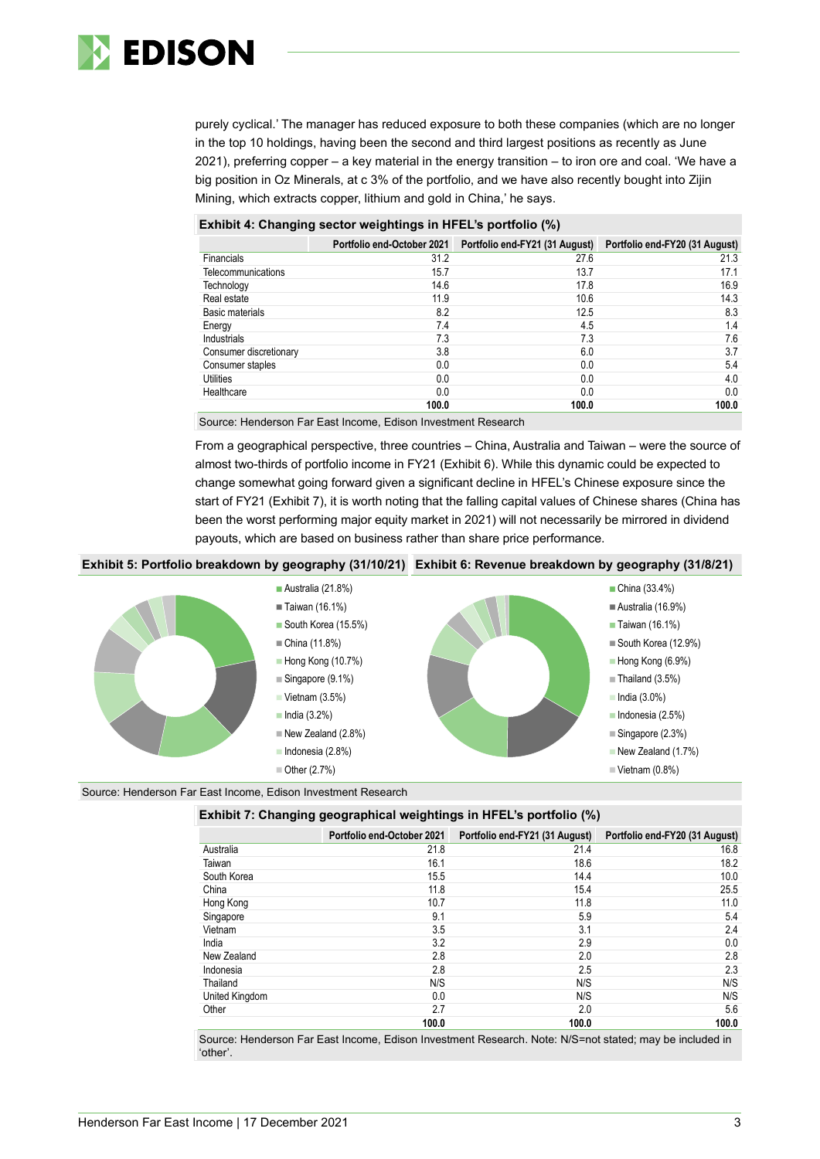

purely cyclical.' The manager has reduced exposure to both these companies (which are no longer in the top 10 holdings, having been the second and third largest positions as recently as June 2021), preferring copper – a key material in the energy transition – to iron ore and coal. 'We have a big position in Oz Minerals, at c 3% of the portfolio, and we have also recently bought into Zijin Mining, which extracts copper, lithium and gold in China,' he says.

# **Exhibit 4: Changing sector weightings in HFEL's portfolio (%)**

|                           | <b>Portfolio end-October 2021</b> | Portfolio end-FY21 (31 August) Portfolio end-FY20 (31 August) |       |
|---------------------------|-----------------------------------|---------------------------------------------------------------|-------|
| Financials                | 31.2                              | 27.6                                                          | 21.3  |
| <b>Telecommunications</b> | 15.7                              | 13.7                                                          | 17.1  |
| Technology                | 14.6                              | 17.8                                                          | 16.9  |
| Real estate               | 11.9                              | 10.6                                                          | 14.3  |
| Basic materials           | 8.2                               | 12.5                                                          | 8.3   |
| Energy                    | 7.4                               | 4.5                                                           | 1.4   |
| Industrials               | 7.3                               | 7.3                                                           | 7.6   |
| Consumer discretionary    | 3.8                               | 6.0                                                           | 3.7   |
| Consumer staples          | 0.0                               | 0.0                                                           | 5.4   |
| Utilities                 | 0.0                               | 0.0                                                           | 4.0   |
| Healthcare                | 0.0                               | 0.0                                                           | 0.0   |
|                           | 100.0                             | 100.0                                                         | 100.0 |

Source: Henderson Far East Income, Edison Investment Research

From a geographical perspective, three countries – China, Australia and Taiwan – were the source of almost two-thirds of portfolio income in FY21 (Exhibit 6). While this dynamic could be expected to change somewhat going forward given a significant decline in HFEL's Chinese exposure since the start of FY21 (Exhibit 7), it is worth noting that the falling capital values of Chinese shares (China has been the worst performing major equity market in 2021) will not necessarily be mirrored in dividend payouts, which are based on business rather than share price performance.

## **Exhibit 5: Portfolio breakdown by geography (31/10/21) Exhibit 6: Revenue breakdown by geography (31/8/21)**



Source: Henderson Far East Income, Edison Investment Research

| Exhibit 7: Changing geographical weightings in HFEL's portfolio (%) |  |
|---------------------------------------------------------------------|--|
|                                                                     |  |

|                | Portfolio end-October 2021 | Portfolio end-FY21 (31 August) | Portfolio end-FY20 (31 August) |
|----------------|----------------------------|--------------------------------|--------------------------------|
| Australia      | 21.8                       | 21.4                           | 16.8                           |
| Taiwan         | 16.1                       | 18.6                           | 18.2                           |
| South Korea    | 15.5                       | 14.4                           | 10.0                           |
| China          | 11.8                       | 15.4                           | 25.5                           |
| Hong Kong      | 10.7                       | 11.8                           | 11.0                           |
| Singapore      | 9.1                        | 5.9                            | 5.4                            |
| Vietnam        | 3.5                        | 3.1                            | 2.4                            |
| India          | 3.2                        | 2.9                            | 0.0                            |
| New Zealand    | 2.8                        | 2.0                            | 2.8                            |
| Indonesia      | 2.8                        | 2.5                            | 2.3                            |
| Thailand       | N/S                        | N/S                            | N/S                            |
| United Kingdom | 0.0                        | N/S                            | N/S                            |
| Other          | 2.7                        | 2.0                            | 5.6                            |
|                | 100.0                      | 100.0                          | 100.0                          |

Source: Henderson Far East Income, Edison Investment Research. Note: N/S=not stated; may be included in 'other'.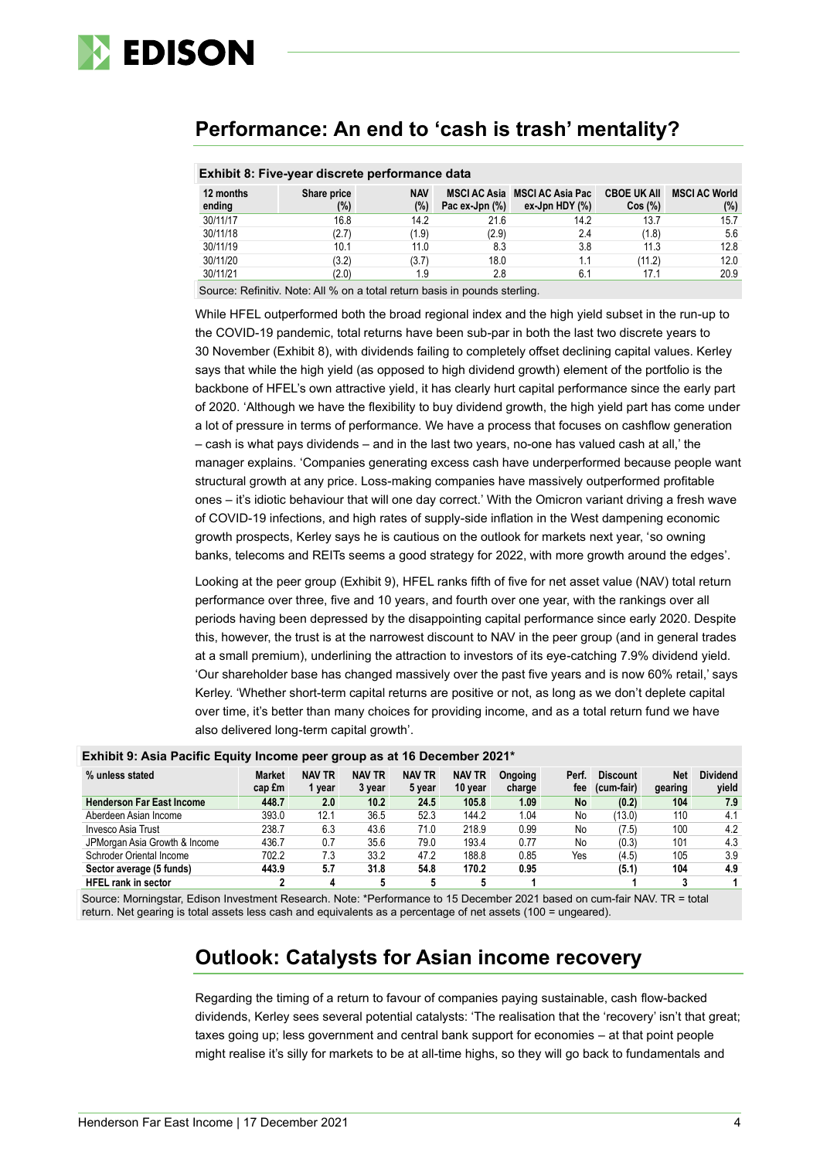

# **Performance: An end to 'cash is trash' mentality?**

| <b>EXHIBIT OF LIVE-YEAL GISCLETE DELIVITIATIVE GATA</b> |                    |                   |                |                                                    |                              |                             |  |  |
|---------------------------------------------------------|--------------------|-------------------|----------------|----------------------------------------------------|------------------------------|-----------------------------|--|--|
| 12 months<br>ending                                     | Share price<br>(%) | <b>NAV</b><br>(%) | Pac ex-Jpn (%) | MSCI AC Asia MSCI AC Asia Pac<br>ex-Jpn HDY $(\%)$ | <b>CBOE UK AII</b><br>Cos(%) | <b>MSCI AC World</b><br>(%) |  |  |
| 30/11/17                                                | 16.8               | 14.2              | 21.6           | 14.2                                               | 13.7                         | 15.7                        |  |  |
| 30/11/18                                                | (2.7)              | (1.9)             | (2.9)          | 2.4                                                | (1.8)                        | 5.6                         |  |  |
| 30/11/19                                                | 10.1               | 11.0              | 8.3            | 3.8                                                | 11.3                         | 12.8                        |  |  |
| 30/11/20                                                | (3.2)              | (3.7)             | 18.0           | 1.1                                                | (11.2)                       | 12.0                        |  |  |
| 30/11/21                                                | (2.0)              | 1.9               | 2.8            | 6.1                                                | 17.1                         | 20.9                        |  |  |

# **Exhibit 8: Five-year discrete performance data**

Source: Refinitiv. Note: All % on a total return basis in pounds sterling.

While HFEL outperformed both the broad regional index and the high yield subset in the run-up to the COVID-19 pandemic, total returns have been sub-par in both the last two discrete years to 30 November (Exhibit 8), with dividends failing to completely offset declining capital values. Kerley says that while the high yield (as opposed to high dividend growth) element of the portfolio is the backbone of HFEL's own attractive yield, it has clearly hurt capital performance since the early part of 2020. 'Although we have the flexibility to buy dividend growth, the high yield part has come under a lot of pressure in terms of performance. We have a process that focuses on cashflow generation – cash is what pays dividends – and in the last two years, no-one has valued cash at all,' the manager explains. 'Companies generating excess cash have underperformed because people want structural growth at any price. Loss-making companies have massively outperformed profitable ones – it's idiotic behaviour that will one day correct.' With the Omicron variant driving a fresh wave of COVID-19 infections, and high rates of supply-side inflation in the West dampening economic growth prospects, Kerley says he is cautious on the outlook for markets next year, 'so owning banks, telecoms and REITs seems a good strategy for 2022, with more growth around the edges'.

Looking at the peer group (Exhibit 9), HFEL ranks fifth of five for net asset value (NAV) total return performance over three, five and 10 years, and fourth over one year, with the rankings over all periods having been depressed by the disappointing capital performance since early 2020. Despite this, however, the trust is at the narrowest discount to NAV in the peer group (and in general trades at a small premium), underlining the attraction to investors of its eye-catching 7.9% dividend yield. 'Our shareholder base has changed massively over the past five years and is now 60% retail,' says Kerley. 'Whether short-term capital returns are positive or not, as long as we don't deplete capital over time, it's better than many choices for providing income, and as a total return fund we have also delivered long-term capital growth'.

| Exhibit 9: Asia Pacific Equity Income peer group as at 16 December 2021* |                         |               |               |               |                          |                |           |                               |            |                          |
|--------------------------------------------------------------------------|-------------------------|---------------|---------------|---------------|--------------------------|----------------|-----------|-------------------------------|------------|--------------------------|
| % unless stated                                                          | <b>Market</b><br>cap £m | <b>NAV TR</b> | <b>NAV TR</b> | <b>NAV TR</b> | <b>NAV TR</b><br>10 year | <b>Ongoing</b> | Perf.     | <b>Discount</b><br>(cum-fair) | <b>Net</b> | <b>Dividend</b><br>vield |
|                                                                          |                         | 1 year        | 3 year        | 5 year        |                          | charge         | fee       |                               | gearing    |                          |
| <b>Henderson Far East Income</b>                                         | 448.7                   | 2.0           | 10.2          | 24.5          | 105.8                    | 1.09           | <b>No</b> | (0.2)                         | 104        | 7.9                      |
| Aberdeen Asian Income                                                    | 393.0                   | 12.1          | 36.5          | 52.3          | 144.2                    | 1.04           | No        | (13.0)                        | 110        | 4.1                      |
| Invesco Asia Trust                                                       | 238.7                   | 6.3           | 43.6          | 71.0          | 218.9                    | 0.99           | No        | (7.5)                         | 100        | 4.2                      |
| JPMorgan Asia Growth & Income                                            | 436.7                   | 0.7           | 35.6          | 79.0          | 193.4                    | 0.77           | No        | (0.3)                         | 101        | 4.3                      |
| Schroder Oriental Income                                                 | 702.2                   | 7.3           | 33.2          | 47.2          | 188.8                    | 0.85           | Yes       | (4.5)                         | 105        | 3.9                      |
| Sector average (5 funds)                                                 | 443.9                   | 5.7           | 31.8          | 54.8          | 170.2                    | 0.95           |           | (5.1)                         | 104        | 4.9                      |
| <b>HFEL rank in sector</b>                                               |                         | 4             |               |               |                          |                |           |                               |            |                          |

Source: Morningstar, Edison Investment Research. Note: \*Performance to 15 December 2021 based on cum-fair NAV. TR = total return. Net gearing is total assets less cash and equivalents as a percentage of net assets (100 = ungeared).

# **Outlook: Catalysts for Asian income recovery**

Regarding the timing of a return to favour of companies paying sustainable, cash flow-backed dividends, Kerley sees several potential catalysts: 'The realisation that the 'recovery' isn't that great; taxes going up; less government and central bank support for economies – at that point people might realise it's silly for markets to be at all-time highs, so they will go back to fundamentals and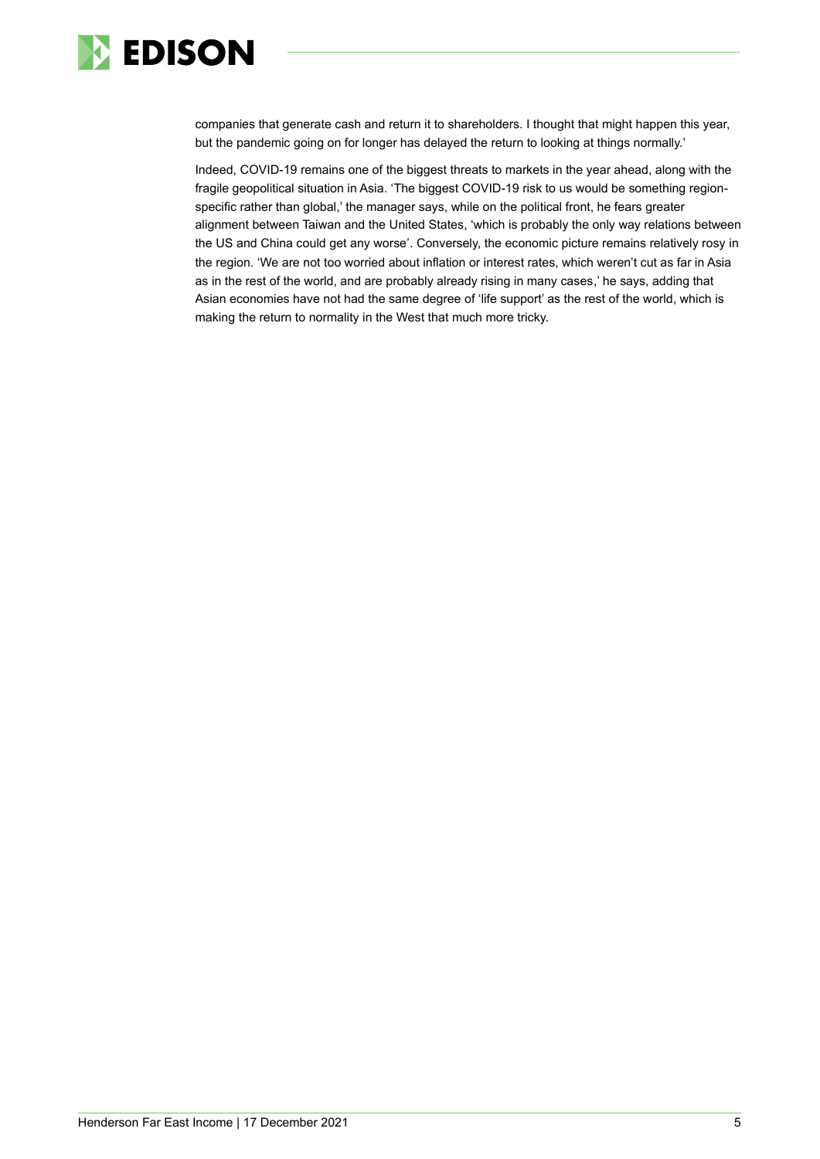

companies that generate cash and return it to shareholders. I thought that might happen this year, but the pandemic going on for longer has delayed the return to looking at things normally.'

Indeed, COVID-19 remains one of the biggest threats to markets in the year ahead, along with the fragile geopolitical situation in Asia. 'The biggest COVID-19 risk to us would be something regionspecific rather than global,' the manager says, while on the political front, he fears greater alignment between Taiwan and the United States, 'which is probably the only way relations between the US and China could get any worse'. Conversely, the economic picture remains relatively rosy in the region. 'We are not too worried about inflation or interest rates, which weren't cut as far in Asia as in the rest of the world, and are probably already rising in many cases,' he says, adding that Asian economies have not had the same degree of 'life support' as the rest of the world, which is making the return to normality in the West that much more tricky.